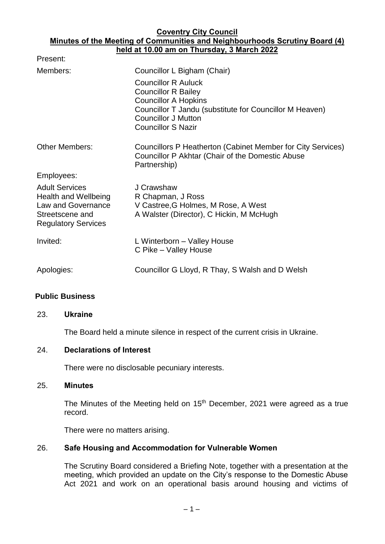#### **Coventry City Council Minutes of the Meeting of Communities and Neighbourhoods Scrutiny Board (4) held at 10.00 am on Thursday, 3 March 2022**

| Present:                                                                                                             |                                                                                                                                                                                                               |
|----------------------------------------------------------------------------------------------------------------------|---------------------------------------------------------------------------------------------------------------------------------------------------------------------------------------------------------------|
| Members:                                                                                                             | Councillor L Bigham (Chair)                                                                                                                                                                                   |
|                                                                                                                      | <b>Councillor R Auluck</b><br><b>Councillor R Bailey</b><br><b>Councillor A Hopkins</b><br>Councillor T Jandu (substitute for Councillor M Heaven)<br><b>Councillor J Mutton</b><br><b>Councillor S Nazir</b> |
| <b>Other Members:</b>                                                                                                | Councillors P Heatherton (Cabinet Member for City Services)<br>Councillor P Akhtar (Chair of the Domestic Abuse<br>Partnership)                                                                               |
| Employees:                                                                                                           |                                                                                                                                                                                                               |
| <b>Adult Services</b><br>Health and Wellbeing<br>Law and Governance<br>Streetscene and<br><b>Regulatory Services</b> | J Crawshaw<br>R Chapman, J Ross<br>V Castree, G Holmes, M Rose, A West<br>A Walster (Director), C Hickin, M McHugh                                                                                            |
| Invited:                                                                                                             | L Winterborn – Valley House<br>C Pike - Valley House                                                                                                                                                          |
| Apologies:                                                                                                           | Councillor G Lloyd, R Thay, S Walsh and D Welsh                                                                                                                                                               |

# **Public Business**

### 23. **Ukraine**

The Board held a minute silence in respect of the current crisis in Ukraine.

### 24. **Declarations of Interest**

There were no disclosable pecuniary interests.

### 25. **Minutes**

The Minutes of the Meeting held on 15<sup>th</sup> December, 2021 were agreed as a true record.

There were no matters arising.

### 26. **Safe Housing and Accommodation for Vulnerable Women**

The Scrutiny Board considered a Briefing Note, together with a presentation at the meeting, which provided an update on the City's response to the Domestic Abuse Act 2021 and work on an operational basis around housing and victims of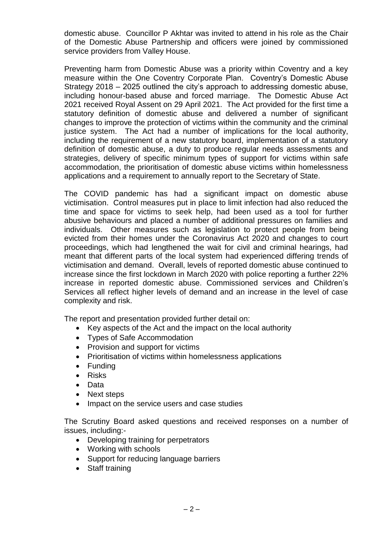domestic abuse. Councillor P Akhtar was invited to attend in his role as the Chair of the Domestic Abuse Partnership and officers were joined by commissioned service providers from Valley House.

Preventing harm from Domestic Abuse was a priority within Coventry and a key measure within the One Coventry Corporate Plan. Coventry's Domestic Abuse Strategy 2018 – 2025 outlined the city's approach to addressing domestic abuse, including honour-based abuse and forced marriage. The Domestic Abuse Act 2021 received Royal Assent on 29 April 2021. The Act provided for the first time a statutory definition of domestic abuse and delivered a number of significant changes to improve the protection of victims within the community and the criminal justice system. The Act had a number of implications for the local authority, including the requirement of a new statutory board, implementation of a statutory definition of domestic abuse, a duty to produce regular needs assessments and strategies, delivery of specific minimum types of support for victims within safe accommodation, the prioritisation of domestic abuse victims within homelessness applications and a requirement to annually report to the Secretary of State.

The COVID pandemic has had a significant impact on domestic abuse victimisation. Control measures put in place to limit infection had also reduced the time and space for victims to seek help, had been used as a tool for further abusive behaviours and placed a number of additional pressures on families and individuals. Other measures such as legislation to protect people from being evicted from their homes under the Coronavirus Act 2020 and changes to court proceedings, which had lengthened the wait for civil and criminal hearings, had meant that different parts of the local system had experienced differing trends of victimisation and demand. Overall, levels of reported domestic abuse continued to increase since the first lockdown in March 2020 with police reporting a further 22% increase in reported domestic abuse. Commissioned services and Children's Services all reflect higher levels of demand and an increase in the level of case complexity and risk.

The report and presentation provided further detail on:

- Key aspects of the Act and the impact on the local authority
- Types of Safe Accommodation
- Provision and support for victims
- Prioritisation of victims within homelessness applications
- Funding
- Risks
- Data
- Next steps
- Impact on the service users and case studies

The Scrutiny Board asked questions and received responses on a number of issues, including:-

- Developing training for perpetrators
- Working with schools
- Support for reducing language barriers
- Staff training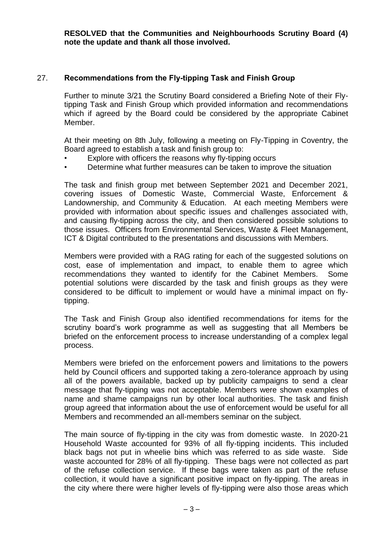**RESOLVED that the Communities and Neighbourhoods Scrutiny Board (4) note the update and thank all those involved.**

# 27. **Recommendations from the Fly-tipping Task and Finish Group**

Further to minute 3/21 the Scrutiny Board considered a Briefing Note of their Flytipping Task and Finish Group which provided information and recommendations which if agreed by the Board could be considered by the appropriate Cabinet Member.

At their meeting on 8th July, following a meeting on Fly-Tipping in Coventry, the Board agreed to establish a task and finish group to:

- Explore with officers the reasons why fly-tipping occurs
- Determine what further measures can be taken to improve the situation

The task and finish group met between September 2021 and December 2021, covering issues of Domestic Waste, Commercial Waste, Enforcement & Landownership, and Community & Education. At each meeting Members were provided with information about specific issues and challenges associated with, and causing fly-tipping across the city, and then considered possible solutions to those issues. Officers from Environmental Services, Waste & Fleet Management, ICT & Digital contributed to the presentations and discussions with Members.

Members were provided with a RAG rating for each of the suggested solutions on cost, ease of implementation and impact, to enable them to agree which recommendations they wanted to identify for the Cabinet Members. Some potential solutions were discarded by the task and finish groups as they were considered to be difficult to implement or would have a minimal impact on flytipping.

The Task and Finish Group also identified recommendations for items for the scrutiny board's work programme as well as suggesting that all Members be briefed on the enforcement process to increase understanding of a complex legal process.

Members were briefed on the enforcement powers and limitations to the powers held by Council officers and supported taking a zero-tolerance approach by using all of the powers available, backed up by publicity campaigns to send a clear message that fly-tipping was not acceptable. Members were shown examples of name and shame campaigns run by other local authorities. The task and finish group agreed that information about the use of enforcement would be useful for all Members and recommended an all-members seminar on the subject.

The main source of fly-tipping in the city was from domestic waste. In 2020-21 Household Waste accounted for 93% of all fly-tipping incidents. This included black bags not put in wheelie bins which was referred to as side waste. Side waste accounted for 28% of all fly-tipping. These bags were not collected as part of the refuse collection service. If these bags were taken as part of the refuse collection, it would have a significant positive impact on fly-tipping. The areas in the city where there were higher levels of fly-tipping were also those areas which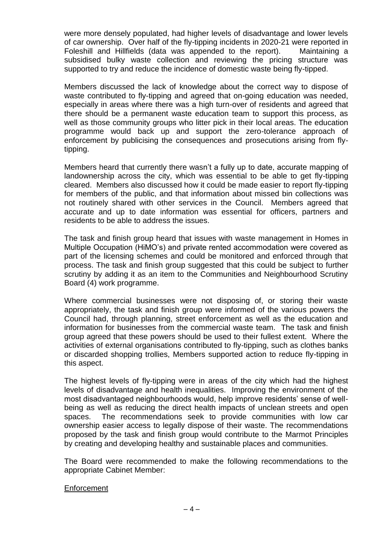were more densely populated, had higher levels of disadvantage and lower levels of car ownership. Over half of the fly-tipping incidents in 2020-21 were reported in Foleshill and Hillfields (data was appended to the report). Maintaining a subsidised bulky waste collection and reviewing the pricing structure was supported to try and reduce the incidence of domestic waste being fly-tipped.

Members discussed the lack of knowledge about the correct way to dispose of waste contributed to fly-tipping and agreed that on-going education was needed, especially in areas where there was a high turn-over of residents and agreed that there should be a permanent waste education team to support this process, as well as those community groups who litter pick in their local areas. The education programme would back up and support the zero-tolerance approach of enforcement by publicising the consequences and prosecutions arising from flytipping.

Members heard that currently there wasn't a fully up to date, accurate mapping of landownership across the city, which was essential to be able to get fly-tipping cleared. Members also discussed how it could be made easier to report fly-tipping for members of the public, and that information about missed bin collections was not routinely shared with other services in the Council. Members agreed that accurate and up to date information was essential for officers, partners and residents to be able to address the issues.

The task and finish group heard that issues with waste management in Homes in Multiple Occupation (HiMO's) and private rented accommodation were covered as part of the licensing schemes and could be monitored and enforced through that process. The task and finish group suggested that this could be subject to further scrutiny by adding it as an item to the Communities and Neighbourhood Scrutiny Board (4) work programme.

Where commercial businesses were not disposing of, or storing their waste appropriately, the task and finish group were informed of the various powers the Council had, through planning, street enforcement as well as the education and information for businesses from the commercial waste team. The task and finish group agreed that these powers should be used to their fullest extent. Where the activities of external organisations contributed to fly-tipping, such as clothes banks or discarded shopping trollies, Members supported action to reduce fly-tipping in this aspect.

The highest levels of fly-tipping were in areas of the city which had the highest levels of disadvantage and health inequalities. Improving the environment of the most disadvantaged neighbourhoods would, help improve residents' sense of wellbeing as well as reducing the direct health impacts of unclean streets and open spaces. The recommendations seek to provide communities with low car ownership easier access to legally dispose of their waste. The recommendations proposed by the task and finish group would contribute to the Marmot Principles by creating and developing healthy and sustainable places and communities.

The Board were recommended to make the following recommendations to the appropriate Cabinet Member:

### **Enforcement**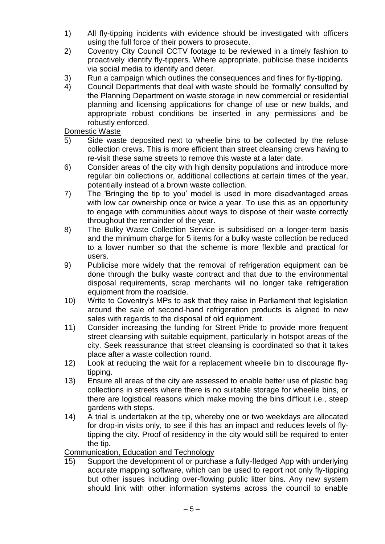- 1) All fly-tipping incidents with evidence should be investigated with officers using the full force of their powers to prosecute.
- 2) Coventry City Council CCTV footage to be reviewed in a timely fashion to proactively identify fly-tippers. Where appropriate, publicise these incidents via social media to identify and deter.
- 3) Run a campaign which outlines the consequences and fines for fly-tipping.
- 4) Council Departments that deal with waste should be 'formally' consulted by the Planning Department on waste storage in new commercial or residential planning and licensing applications for change of use or new builds, and appropriate robust conditions be inserted in any permissions and be robustly enforced.

# Domestic Waste

- 5) Side waste deposited next to wheelie bins to be collected by the refuse collection crews. This is more efficient than street cleansing crews having to re-visit these same streets to remove this waste at a later date.
- 6) Consider areas of the city with high density populations and introduce more regular bin collections or, additional collections at certain times of the year, potentially instead of a brown waste collection.
- 7) The 'Bringing the tip to you' model is used in more disadvantaged areas with low car ownership once or twice a year. To use this as an opportunity to engage with communities about ways to dispose of their waste correctly throughout the remainder of the year.
- 8) The Bulky Waste Collection Service is subsidised on a longer-term basis and the minimum charge for 5 items for a bulky waste collection be reduced to a lower number so that the scheme is more flexible and practical for users.
- 9) Publicise more widely that the removal of refrigeration equipment can be done through the bulky waste contract and that due to the environmental disposal requirements, scrap merchants will no longer take refrigeration equipment from the roadside.
- 10) Write to Coventry's MPs to ask that they raise in Parliament that legislation around the sale of second-hand refrigeration products is aligned to new sales with regards to the disposal of old equipment.
- 11) Consider increasing the funding for Street Pride to provide more frequent street cleansing with suitable equipment, particularly in hotspot areas of the city. Seek reassurance that street cleansing is coordinated so that it takes place after a waste collection round.
- 12) Look at reducing the wait for a replacement wheelie bin to discourage flytipping.
- 13) Ensure all areas of the city are assessed to enable better use of plastic bag collections in streets where there is no suitable storage for wheelie bins, or there are logistical reasons which make moving the bins difficult i.e., steep gardens with steps.
- 14) A trial is undertaken at the tip, whereby one or two weekdays are allocated for drop-in visits only, to see if this has an impact and reduces levels of flytipping the city. Proof of residency in the city would still be required to enter the tip.

Communication, Education and Technology

15) Support the development of or purchase a fully-fledged App with underlying accurate mapping software, which can be used to report not only fly-tipping but other issues including over-flowing public litter bins. Any new system should link with other information systems across the council to enable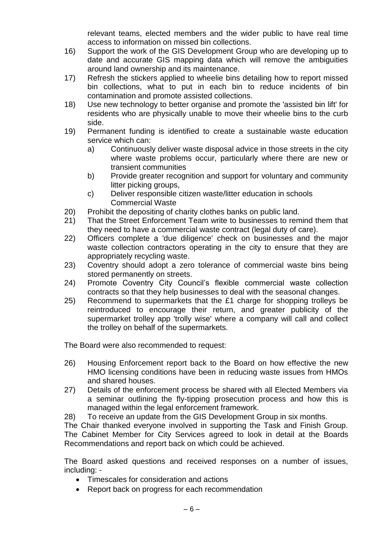relevant teams, elected members and the wider public to have real time access to information on missed bin collections.

- 16) Support the work of the GIS Development Group who are developing up to date and accurate GIS mapping data which will remove the ambiguities around land ownership and its maintenance.
- 17) Refresh the stickers applied to wheelie bins detailing how to report missed bin collections, what to put in each bin to reduce incidents of bin contamination and promote assisted collections.
- 18) Use new technology to better organise and promote the 'assisted bin lift' for residents who are physically unable to move their wheelie bins to the curb side.
- 19) Permanent funding is identified to create a sustainable waste education service which can:
	- a) Continuously deliver waste disposal advice in those streets in the city where waste problems occur, particularly where there are new or transient communities
	- b) Provide greater recognition and support for voluntary and community litter picking groups,
	- c) Deliver responsible citizen waste/litter education in schools Commercial Waste
- 20) Prohibit the depositing of charity clothes banks on public land.
- 21) That the Street Enforcement Team write to businesses to remind them that they need to have a commercial waste contract (legal duty of care).
- 22) Officers complete a 'due diligence' check on businesses and the major waste collection contractors operating in the city to ensure that they are appropriately recycling waste.
- 23) Coventry should adopt a zero tolerance of commercial waste bins being stored permanently on streets.
- 24) Promote Coventry City Council's flexible commercial waste collection contracts so that they help businesses to deal with the seasonal changes.
- 25) Recommend to supermarkets that the £1 charge for shopping trolleys be reintroduced to encourage their return, and greater publicity of the supermarket trolley app 'trolly wise' where a company will call and collect the trolley on behalf of the supermarkets.

The Board were also recommended to request:

- 26) Housing Enforcement report back to the Board on how effective the new HMO licensing conditions have been in reducing waste issues from HMOs and shared houses.
- 27) Details of the enforcement process be shared with all Elected Members via a seminar outlining the fly-tipping prosecution process and how this is managed within the legal enforcement framework.
- 28) To receive an update from the GIS Development Group in six months.

The Chair thanked everyone involved in supporting the Task and Finish Group. The Cabinet Member for City Services agreed to look in detail at the Boards Recommendations and report back on which could be achieved.

The Board asked questions and received responses on a number of issues, including: -

- Timescales for consideration and actions
- Report back on progress for each recommendation